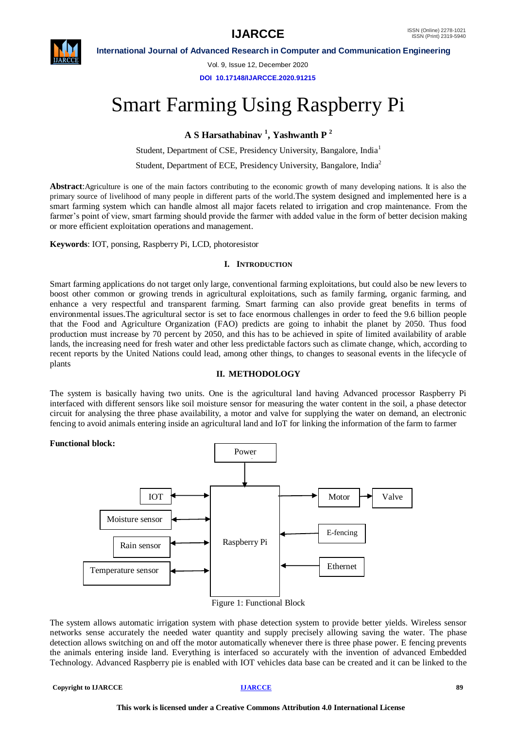

Vol. 9, Issue 12, December 2020

**DOI 10.17148/IJARCCE.2020.91215**

# Smart Farming Using Raspberry Pi

**A S Harsathabinav <sup>1</sup> , Yashwanth P <sup>2</sup>**

Student, Department of CSE, Presidency University, Bangalore, India<sup>1</sup>

Student, Department of ECE, Presidency University, Bangalore, India<sup>2</sup>

**Abstract**:Agriculture is one of the main factors contributing to the economic growth of many developing nations. It is also the primary source of livelihood of many people in different parts of the world.The system designed and implemented here is a smart farming system which can handle almost all major facets related to irrigation and crop maintenance. From the farmer's point of view, smart farming should provide the farmer with added value in the form of better decision making or more efficient exploitation operations and management.

**Keywords**: IOT, ponsing, Raspberry Pi, LCD, photoresistor

# **I. INTRODUCTION**

Smart farming applications do not target only large, conventional farming exploitations, but could also be new levers to boost other common or growing trends in agricultural exploitations, such as family farming, organic farming, and enhance a very respectful and transparent farming. Smart farming can also provide great benefits in terms of environmental issues.The agricultural sector is set to face enormous challenges in order to feed the 9.6 billion people that the Food and Agriculture Organization (FAO) predicts are going to inhabit the planet by 2050. Thus food production must increase by 70 percent by 2050, and this has to be achieved in spite of limited availability of arable lands, the increasing need for fresh water and other less predictable factors such as climate change, which, according to recent reports by the United Nations could lead, among other things, to changes to seasonal events in the lifecycle of plants

# **II. METHODOLOGY**

The system is basically having two units. One is the agricultural land having Advanced processor Raspberry Pi interfaced with different sensors like soil moisture sensor for measuring the water content in the soil, a phase detector circuit for analysing the three phase availability, a motor and valve for supplying the water on demand, an electronic fencing to avoid animals entering inside an agricultural land and IoT for linking the information of the farm to farmer

# **Functional block:**



The system allows automatic irrigation system with phase detection system to provide better yields. Wireless sensor networks sense accurately the needed water quantity and supply precisely allowing saving the water. The phase detection allows switching on and off the motor automatically whenever there is three phase power. E fencing prevents the animals entering inside land. Everything is interfaced so accurately with the invention of advanced Embedded Technology. Advanced Raspberry pie is enabled with IOT vehicles data base can be created and it can be linked to the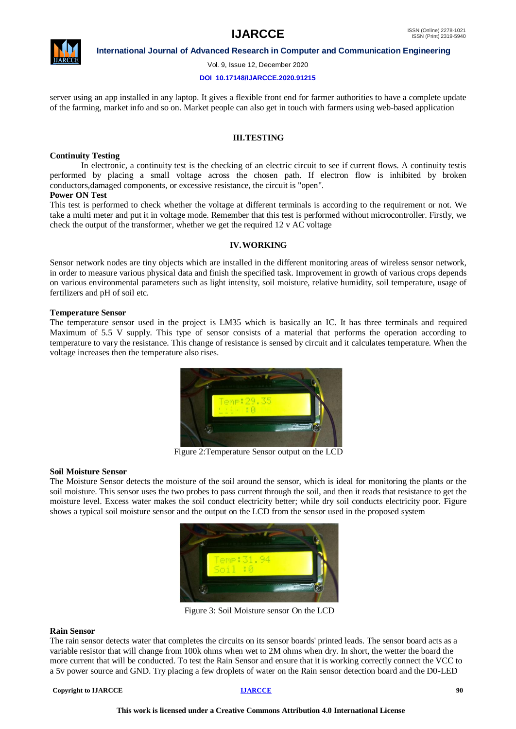

Vol. 9, Issue 12, December 2020

#### **DOI 10.17148/IJARCCE.2020.91215**

server using an app installed in any laptop. It gives a flexible front end for farmer authorities to have a complete update of the farming, market info and so on. Market people can also get in touch with farmers using web-based application

### **III.TESTING**

### **Continuity Testing**

In electronic, a continuity test is the checking of an electric circuit to see if current flows. A continuity testis performed by placing a small voltage across the chosen path. If electron flow is inhibited by broken conductors,damaged components, or excessive resistance, the circuit is "open".

# **Power ON Test**

This test is performed to check whether the voltage at different terminals is according to the requirement or not. We take a multi meter and put it in voltage mode. Remember that this test is performed without microcontroller. Firstly, we check the output of the transformer, whether we get the required 12 v AC voltage

### **IV.WORKING**

Sensor network nodes are tiny objects which are installed in the different monitoring areas of wireless sensor network, in order to measure various physical data and finish the specified task. Improvement in growth of various crops depends on various environmental parameters such as light intensity, soil moisture, relative humidity, soil temperature, usage of fertilizers and pH of soil etc.

### **Temperature Sensor**

The temperature sensor used in the project is LM35 which is basically an IC. It has three terminals and required Maximum of 5.5 V supply. This type of sensor consists of a material that performs the operation according to temperature to vary the resistance. This change of resistance is sensed by circuit and it calculates temperature. When the voltage increases then the temperature also rises.



Figure 2:Temperature Sensor output on the LCD

### **Soil Moisture Sensor**

The Moisture Sensor detects the moisture of the soil around the sensor, which is ideal for monitoring the plants or the soil moisture. This sensor uses the two probes to pass current through the soil, and then it reads that resistance to get the moisture level. Excess water makes the soil conduct electricity better; while dry soil conducts electricity poor. Figure shows a typical soil moisture sensor and the output on the LCD from the sensor used in the proposed system



Figure 3: Soil Moisture sensor On the LCD

### **Rain Sensor**

The rain sensor detects water that completes the circuits on its sensor boards' printed leads. The sensor board acts as a variable resistor that will change from 100k ohms when wet to 2M ohms when dry. In short, the wetter the board the more current that will be conducted. To test the Rain Sensor and ensure that it is working correctly connect the VCC to a 5v power source and GND. Try placing a few droplets of water on the Rain sensor detection board and the D0-LED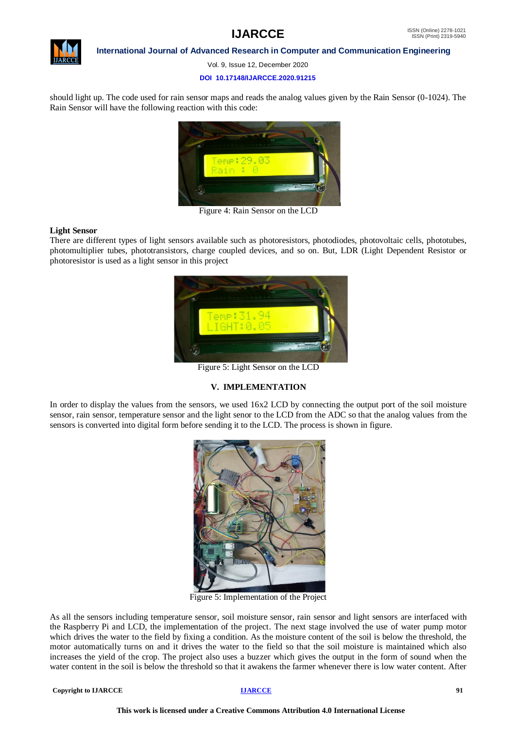

Vol. 9, Issue 12, December 2020

### **DOI 10.17148/IJARCCE.2020.91215**

should light up. The code used for rain sensor maps and reads the analog values given by the Rain Sensor (0-1024). The Rain Sensor will have the following reaction with this code:



Figure 4: Rain Sensor on the LCD

### **Light Sensor**

There are different types of light sensors available such as photoresistors, photodiodes, photovoltaic cells, phototubes, photomultiplier tubes, phototransistors, charge coupled devices, and so on. But, LDR (Light Dependent Resistor or photoresistor is used as a light sensor in this project



Figure 5: Light Sensor on the LCD

# **V. IMPLEMENTATION**

In order to display the values from the sensors, we used 16x2 LCD by connecting the output port of the soil moisture sensor, rain sensor, temperature sensor and the light senor to the LCD from the ADC so that the analog values from the sensors is converted into digital form before sending it to the LCD. The process is shown in figure.



Figure 5: Implementation of the Project

As all the sensors including temperature sensor, soil moisture sensor, rain sensor and light sensors are interfaced with the Raspberry Pi and LCD, the implementation of the project. The next stage involved the use of water pump motor which drives the water to the field by fixing a condition. As the moisture content of the soil is below the threshold, the motor automatically turns on and it drives the water to the field so that the soil moisture is maintained which also increases the yield of the crop. The project also uses a buzzer which gives the output in the form of sound when the water content in the soil is below the threshold so that it awakens the farmer whenever there is low water content. After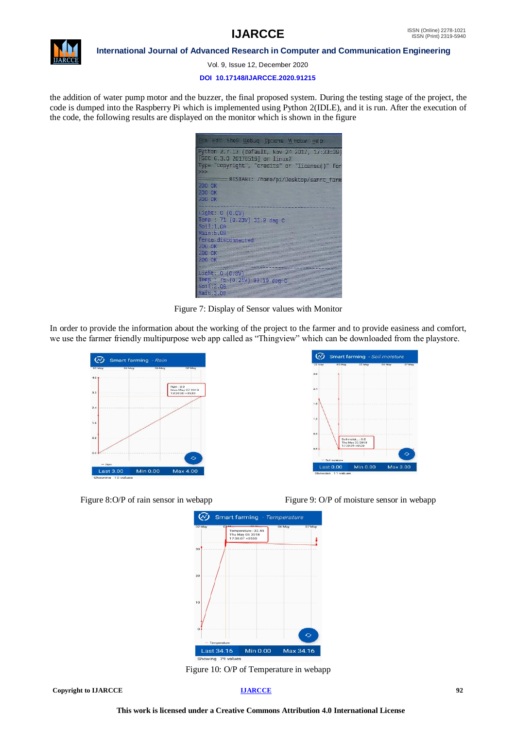

Vol. 9, Issue 12, December 2020

#### **DOI 10.17148/IJARCCE.2020.91215**

the addition of water pump motor and the buzzer, the final proposed system. During the testing stage of the project, the code is dumped into the Raspberry Pi which is implemented using Python 2(IDLE), and it is run. After the execution of the code, the following results are displayed on the monitor which is shown in the figure

| File Edit Shell Debug Options Window Help      |
|------------------------------------------------|
| Python 2.7.13 (default, Nov 24 2017, 17:33:09) |
| [GCC 6.3.0 20170516] on linux2                 |
| Type "copyright", "credits" or "license()" for |
| >                                              |
| RESTART: /home/pi/Desktop/samrt_farm.          |
| 200 OK                                         |
| 200 OK                                         |
| 200 OK                                         |
| Light: $0 (0.0V)$                              |
| Temp : 71 (0.23V) 31.9 deg C                   |
| So if 1.00                                     |
| Rain: 5.00                                     |
| fence disconnected                             |
| 200 OK                                         |
| 200 OK                                         |
| 200 OK                                         |
|                                                |
| Light: 0.00                                    |
| Temp : 75 (0.24V) 33.19 deg C                  |
| So.1:2.00                                      |
| Rain: 3,00                                     |

Figure 7: Display of Sensor values with Monitor

In order to provide the information about the working of the project to the farmer and to provide easiness and comfort, we use the farmer friendly multipurpose web app called as "Thingview" which can be downloaded from the playstore.









Figure 10: O/P of Temperature in webapp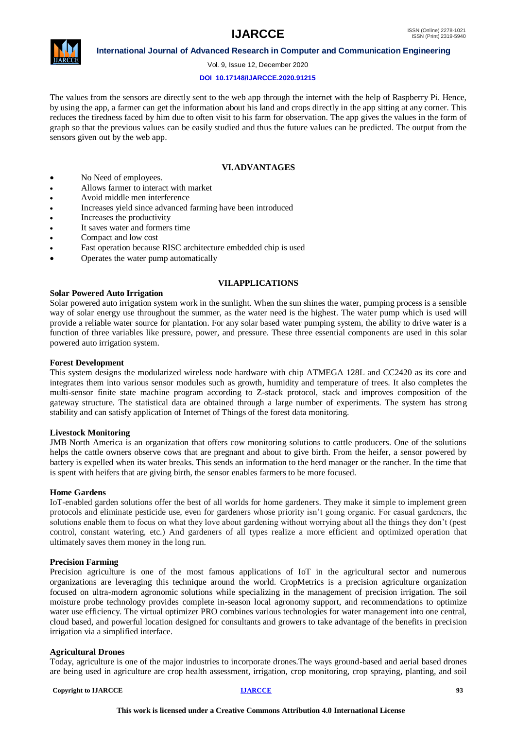

Vol. 9, Issue 12, December 2020

# **DOI 10.17148/IJARCCE.2020.91215**

The values from the sensors are directly sent to the web app through the internet with the help of Raspberry Pi. Hence, by using the app, a farmer can get the information about his land and crops directly in the app sitting at any corner. This reduces the tiredness faced by him due to often visit to his farm for observation. The app gives the values in the form of graph so that the previous values can be easily studied and thus the future values can be predicted. The output from the sensors given out by the web app.

# **VI.ADVANTAGES**

- No Need of employees.
- Allows farmer to interact with market
- Avoid middle men interference
- Increases yield since advanced farming have been introduced
- Increases the productivity
- It saves water and formers time
- Compact and low cost
- Fast operation because RISC architecture embedded chip is used
- Operates the water pump automatically

# **VII.APPLICATIONS**

# **Solar Powered Auto Irrigation**

Solar powered auto irrigation system work in the sunlight. When the sun shines the water, pumping process is a sensible way of solar energy use throughout the summer, as the water need is the highest. The water pump which is used will provide a reliable water source for plantation. For any solar based water pumping system, the ability to drive water is a function of three variables like pressure, power, and pressure. These three essential components are used in this solar powered auto irrigation system.

# **Forest Development**

This system designs the modularized wireless node hardware with chip ATMEGA 128L and CC2420 as its core and integrates them into various sensor modules such as growth, humidity and temperature of trees. It also completes the multi-sensor finite state machine program according to Z-stack protocol, stack and improves composition of the gateway structure. The statistical data are obtained through a large number of experiments. The system has strong stability and can satisfy application of Internet of Things of the forest data monitoring.

# **Livestock Monitoring**

JMB North America is an organization that offers cow monitoring solutions to cattle producers. One of the solutions helps the cattle owners observe cows that are pregnant and about to give birth. From the heifer, a sensor powered by battery is expelled when its water breaks. This sends an information to the herd manager or the rancher. In the time that is spent with heifers that are giving birth, the sensor enables farmers to be more focused.

# **Home Gardens**

IoT-enabled garden solutions offer the best of all worlds for home gardeners. They make it simple to implement green protocols and eliminate pesticide use, even for gardeners whose priority isn't going organic. For casual gardeners, the solutions enable them to focus on what they love about gardening without worrying about all the things they don't (pest control, constant watering, etc.) And gardeners of all types realize a more efficient and optimized operation that ultimately saves them money in the long run.

# **Precision Farming**

Precision agriculture is one of the most famous applications of IoT in the agricultural sector and numerous organizations are leveraging this technique around the world. CropMetrics is a precision agriculture organization focused on ultra-modern agronomic solutions while specializing in the management of precision irrigation. The soil moisture probe technology provides complete in-season local agronomy support, and recommendations to optimize water use efficiency. The virtual optimizer PRO combines various technologies for water management into one central, cloud based, and powerful location designed for consultants and growers to take advantage of the benefits in precision irrigation via a simplified interface.

# **Agricultural Drones**

Today, agriculture is one of the major industries to incorporate drones.The ways ground-based and aerial based drones are being used in agriculture are crop health assessment, irrigation, crop monitoring, crop spraying, planting, and soil